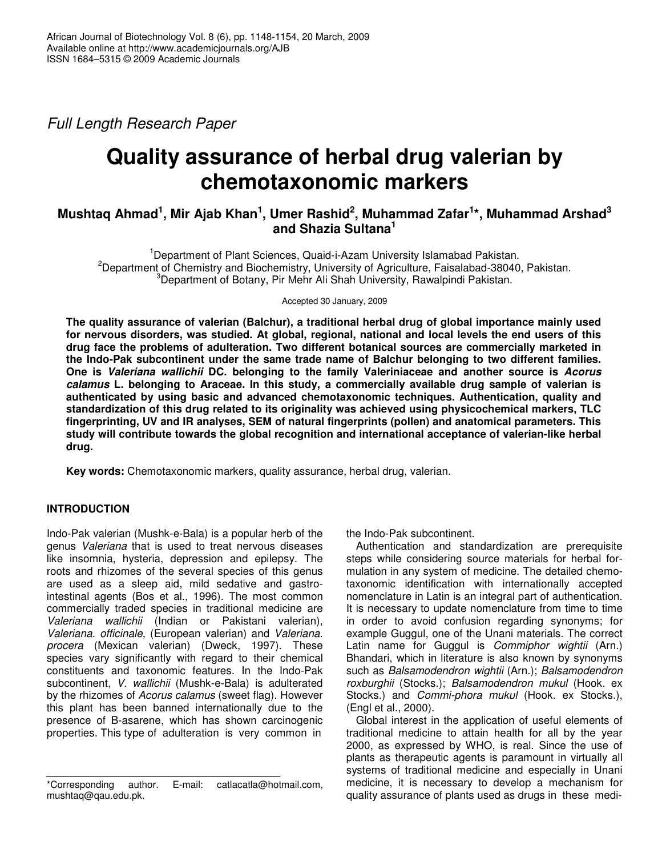*Full Length Research Paper*

# **Quality assurance of herbal drug valerian by chemotaxonomic markers**

# Mushtaq Ahmad<sup>1</sup>, Mir Ajab Khan<sup>1</sup>, Umer Rashid<sup>2</sup>, Muhammad Zafar<sup>1</sup>\*, Muhammad Arshad<sup>3</sup> **and Shazia Sultana 1**

<sup>1</sup>Department of Plant Sciences, Quaid-i-Azam University Islamabad Pakistan.  $2D$ epartment of Chemistry and Biochemistry, University of Agriculture, Faisalabad-38040, Pakistan. <sup>3</sup>Department of Botany, Pir Mehr Ali Shah University, Rawalpindi Pakistan.

Accepted 30 January, 2009

**The quality assurance of valerian (Balchur), a traditional herbal drug of global importance mainly used for nervous disorders, was studied. At global, regional, national and local levels the end users of this drug face the problems of adulteration. Two different botanical sources are commercially marketed in the Indo-Pak subcontinent under the same trade name of Balchur belonging to two different families. One is** *Valeriana wallichii* **DC. belonging to the family Valeriniaceae and another source is** *Acorus calamus* **L. belonging to Araceae. In this study, a commercially available drug sample of valerian is authenticated by using basic and advanced chemotaxonomic techniques. Authentication, quality and standardization of this drug related to its originality was achieved using physicochemical markers, TLC fingerprinting, UV and IR analyses, SEM of natural fingerprints (pollen) and anatomical parameters. This study will contribute towards the global recognition and international acceptance of valerian-like herbal drug.**

**Key words:** Chemotaxonomic markers, quality assurance, herbal drug, valerian.

# **INTRODUCTION**

Indo-Pak valerian (Mushk-e-Bala) is a popular herb of the genus *Valeriana* that is used to treat nervous diseases like insomnia, hysteria, depression and epilepsy. The roots and rhizomes of the several species of this genus are used as a sleep aid, mild sedative and gastrointestinal agents (Bos et al., 1996). The most common commercially traded species in traditional medicine are *Valeriana wallichii* (Indian or Pakistani valerian), *Valeriana. officinale*, (European valerian) and *Valeriana. procera* (Mexican valerian) (Dweck, 1997). These species vary significantly with regard to their chemical constituents and taxonomic features. In the Indo-Pak subcontinent, *V. wallichii* (Mushk-e-Bala) is adulterated by the rhizomes of *Acorus calamus* (sweet flag). However this plant has been banned internationally due to the presence of B-asarene, which has shown carcinogenic properties. This type of adulteration is very common in

the Indo-Pak subcontinent.

Authentication and standardization are prerequisite steps while considering source materials for herbal formulation in any system of medicine. The detailed chemotaxonomic identification with internationally accepted nomenclature in Latin is an integral part of authentication. It is necessary to update nomenclature from time to time in order to avoid confusion regarding synonyms; for example Guggul, one of the Unani materials. The correct Latin name for Guggul is *Commiphor wightii* (Arn.) Bhandari, which in literature is also known by synonyms such as *Balsamodendron wightii* (Arn.); *Balsamodendron roxburghii* (Stocks.); *Balsamodendron mukul* (Hook. ex Stocks.) and *Commi-phora mukul* (Hook. ex Stocks.), (Engl et al., 2000).

Global interest in the application of useful elements of traditional medicine to attain health for all by the year 2000, as expressed by WHO, is real. Since the use of plants as therapeutic agents is paramount in virtually all systems of traditional medicine and especially in Unani medicine, it is necessary to develop a mechanism for quality assurance of plants used as drugs in these medi-

<sup>\*</sup>Corresponding author. E-mail: catlacatla@hotmail.com, mushtaq@qau.edu.pk.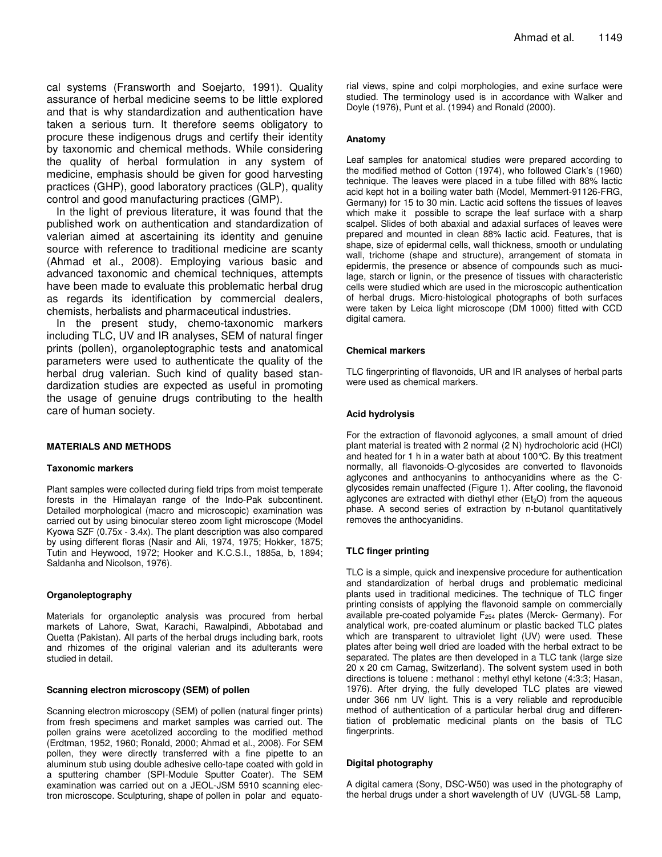cal systems (Fransworth and Soejarto, 1991). Quality assurance of herbal medicine seems to be little explored and that is why standardization and authentication have taken a serious turn. It therefore seems obligatory to procure these indigenous drugs and certify their identity by taxonomic and chemical methods. While considering the quality of herbal formulation in any system of medicine, emphasis should be given for good harvesting practices (GHP), good laboratory practices (GLP), quality control and good manufacturing practices (GMP).

In the light of previous literature, it was found that the published work on authentication and standardization of valerian aimed at ascertaining its identity and genuine source with reference to traditional medicine are scanty (Ahmad et al., 2008). Employing various basic and advanced taxonomic and chemical techniques, attempts have been made to evaluate this problematic herbal drug as regards its identification by commercial dealers, chemists, herbalists and pharmaceutical industries.

In the present study, chemo-taxonomic markers including TLC, UV and IR analyses, SEM of natural finger prints (pollen), organoleptographic tests and anatomical parameters were used to authenticate the quality of the herbal drug valerian. Such kind of quality based standardization studies are expected as useful in promoting the usage of genuine drugs contributing to the health care of human society.

#### **MATERIALS AND METHODS**

#### **Taxonomic markers**

Plant samples were collected during field trips from moist temperate forests in the Himalayan range of the Indo-Pak subcontinent. Detailed morphological (macro and microscopic) examination was carried out by using binocular stereo zoom light microscope (Model Kyowa SZF (0.75x - 3.4x). The plant description was also compared by using different floras (Nasir and Ali, 1974, 1975; Hokker, 1875; Tutin and Heywood, 1972; Hooker and K.C.S.I., 1885a, b, 1894; Saldanha and Nicolson, 1976).

#### **Organoleptography**

Materials for organoleptic analysis was procured from herbal markets of Lahore, Swat, Karachi, Rawalpindi, Abbotabad and Quetta (Pakistan). All parts of the herbal drugs including bark, roots and rhizomes of the original valerian and its adulterants were studied in detail.

#### **Scanning electron microscopy (SEM) of pollen**

Scanning electron microscopy (SEM) of pollen (natural finger prints) from fresh specimens and market samples was carried out. The pollen grains were acetolized according to the modified method (Erdtman, 1952, 1960; Ronald, 2000; Ahmad et al., 2008). For SEM pollen, they were directly transferred with a fine pipette to an aluminum stub using double adhesive cello-tape coated with gold in a sputtering chamber (SPI-Module Sputter Coater). The SEM examination was carried out on a JEOL-JSM 5910 scanning electron microscope. Sculpturing, shape of pollen in polar and equatorial views, spine and colpi morphologies, and exine surface were studied. The terminology used is in accordance with Walker and Doyle (1976), Punt et al*.* (1994) and Ronald (2000).

#### **Anatomy**

Leaf samples for anatomical studies were prepared according to the modified method of Cotton (1974), who followed Clark's (1960) technique. The leaves were placed in a tube filled with 88% lactic acid kept hot in a boiling water bath (Model, Memmert-91126-FRG, Germany) for 15 to 30 min. Lactic acid softens the tissues of leaves which make it possible to scrape the leaf surface with a sharp scalpel. Slides of both abaxial and adaxial surfaces of leaves were prepared and mounted in clean 88% lactic acid. Features, that is shape, size of epidermal cells, wall thickness, smooth or undulating wall, trichome (shape and structure), arrangement of stomata in epidermis, the presence or absence of compounds such as mucilage, starch or lignin, or the presence of tissues with characteristic cells were studied which are used in the microscopic authentication of herbal drugs. Micro-histological photographs of both surfaces were taken by Leica light microscope (DM 1000) fitted with CCD digital camera.

#### **Chemical markers**

TLC fingerprinting of flavonoids, UR and IR analyses of herbal parts were used as chemical markers.

#### **Acid hydrolysis**

For the extraction of flavonoid aglycones, a small amount of dried plant material is treated with 2 normal (2 N) hydrocholoric acid (HCl) and heated for 1 h in a water bath at about 100°C. By this treatment normally, all flavonoids-O-glycosides are converted to flavonoids aglycones and anthocyanins to anthocyanidins where as the Cglycosides remain unaffected (Figure 1). After cooling, the flavonoid aglycones are extracted with diethyl ether  $(Et<sub>2</sub>O)$  from the aqueous phase. A second series of extraction by n-butanol quantitatively removes the anthocyanidins.

#### **TLC finger printing**

TLC is a simple, quick and inexpensive procedure for authentication and standardization of herbal drugs and problematic medicinal plants used in traditional medicines. The technique of TLC finger printing consists of applying the flavonoid sample on commercially available pre-coated polyamide F<sup>254</sup> plates (Merck- Germany). For analytical work, pre-coated aluminum or plastic backed TLC plates which are transparent to ultraviolet light (UV) were used. These plates after being well dried are loaded with the herbal extract to be separated. The plates are then developed in a TLC tank (large size 20 x 20 cm Camag, Switzerland). The solvent system used in both directions is toluene : methanol : methyl ethyl ketone (4:3:3; Hasan, 1976). After drying, the fully developed TLC plates are viewed under 366 nm UV light. This is a very reliable and reproducible method of authentication of a particular herbal drug and differentiation of problematic medicinal plants on the basis of TLC fingerprints.

#### **Digital photography**

A digital camera (Sony, DSC-W50) was used in the photography of the herbal drugs under a short wavelength of UV (UVGL-58 Lamp,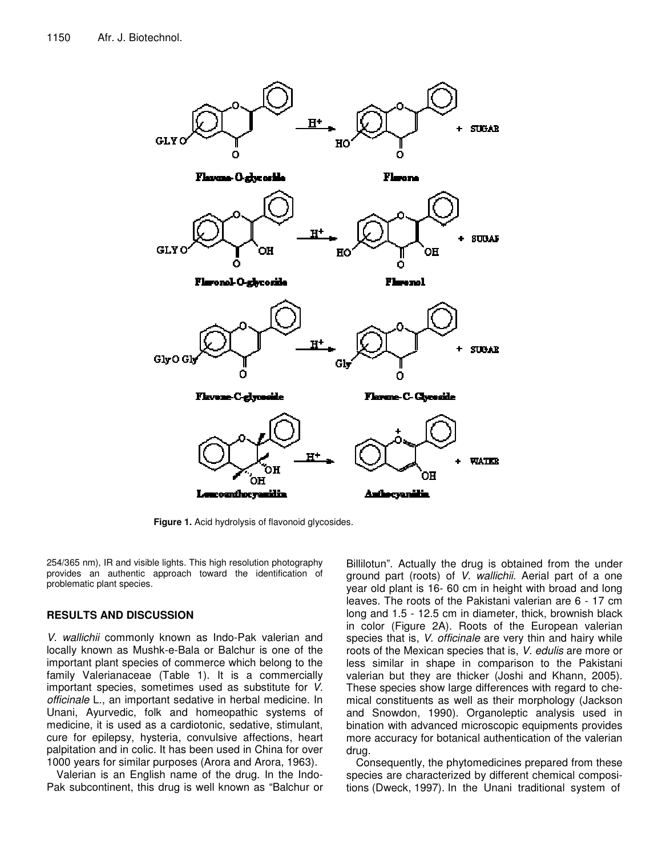

**Figure 1.** Acid hydrolysis of flavonoid glycosides.

254/365 nm), IR and visible lights. This high resolution photography provides an authentic approach toward the identification of problematic plant species.

## **RESULTS AND DISCUSSION**

*V. wallichii* commonly known as Indo-Pak valerian and locally known as Mushk-e-Bala or Balchur is one of the important plant species of commerce which belong to the family Valerianaceae (Table 1). It is a commercially important species, sometimes used as substitute for *V. officinale* L., an important sedative in herbal medicine. In Unani, Ayurvedic, folk and homeopathic systems of medicine, it is used as a cardiotonic, sedative, stimulant, cure for epilepsy, hysteria, convulsive affections, heart palpitation and in colic. It has been used in China for over 1000 years for similar purposes (Arora and Arora, 1963).

Valerian is an English name of the drug. In the Indo-Pak subcontinent, this drug is well known as "Balchur or

Billilotun". Actually the drug is obtained from the under ground part (roots) of *V. wallichii*. Aerial part of a one year old plant is 16- 60 cm in height with broad and long leaves. The roots of the Pakistani valerian are 6 - 17 cm long and 1.5 - 12.5 cm in diameter, thick, brownish black in color (Figure 2A). Roots of the European valerian species that is, *V. officinale* are very thin and hairy while roots of the Mexican species that is, *V. edulis* are more or less similar in shape in comparison to the Pakistani valerian but they are thicker (Joshi and Khann, 2005). These species show large differences with regard to chemical constituents as well as their morphology (Jackson and Snowdon, 1990). Organoleptic analysis used in bination with advanced microscopic equipments provides more accuracy for botanical authentication of the valerian drug.

Consequently, the phytomedicines prepared from these species are characterized by different chemical compositions (Dweck, 1997). In the Unani traditional system of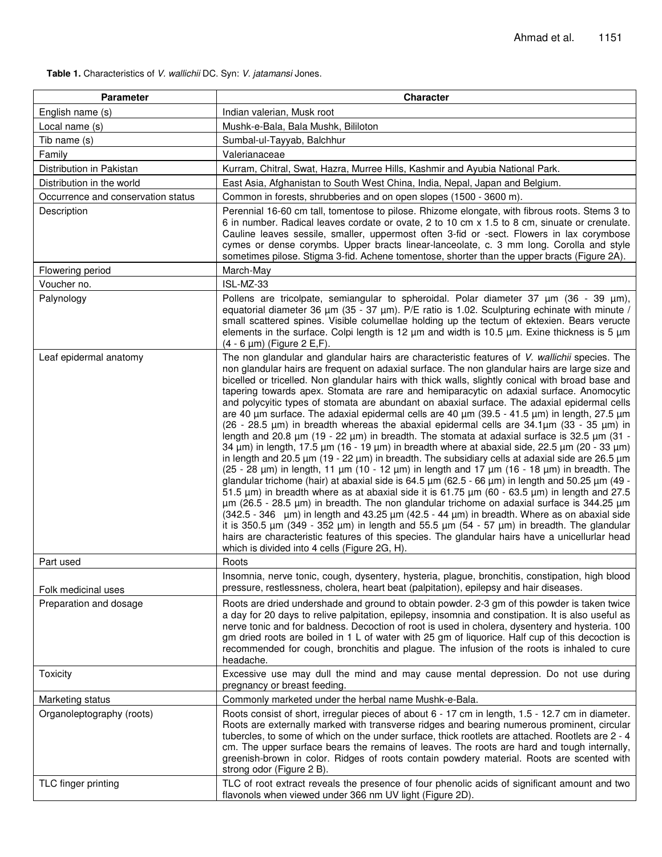**Table 1.** Characteristics of *V. wallichii* DC. Syn: *V. jatamansi* Jones.

| <b>Parameter</b>                   | <b>Character</b>                                                                                                                                                                                                                                                                                                                                                                                                                                                                                                                                                                                                                                                                                                                                                                                                                                                                                                                                                                                                                                                                                                                                                                                                                                                                                                                                                                                                                                                                                                                                                                                                                                                                                                                                                                                                                                                                                                      |
|------------------------------------|-----------------------------------------------------------------------------------------------------------------------------------------------------------------------------------------------------------------------------------------------------------------------------------------------------------------------------------------------------------------------------------------------------------------------------------------------------------------------------------------------------------------------------------------------------------------------------------------------------------------------------------------------------------------------------------------------------------------------------------------------------------------------------------------------------------------------------------------------------------------------------------------------------------------------------------------------------------------------------------------------------------------------------------------------------------------------------------------------------------------------------------------------------------------------------------------------------------------------------------------------------------------------------------------------------------------------------------------------------------------------------------------------------------------------------------------------------------------------------------------------------------------------------------------------------------------------------------------------------------------------------------------------------------------------------------------------------------------------------------------------------------------------------------------------------------------------------------------------------------------------------------------------------------------------|
| English name (s)                   | Indian valerian, Musk root                                                                                                                                                                                                                                                                                                                                                                                                                                                                                                                                                                                                                                                                                                                                                                                                                                                                                                                                                                                                                                                                                                                                                                                                                                                                                                                                                                                                                                                                                                                                                                                                                                                                                                                                                                                                                                                                                            |
| Local name (s)                     | Mushk-e-Bala, Bala Mushk, Bililoton                                                                                                                                                                                                                                                                                                                                                                                                                                                                                                                                                                                                                                                                                                                                                                                                                                                                                                                                                                                                                                                                                                                                                                                                                                                                                                                                                                                                                                                                                                                                                                                                                                                                                                                                                                                                                                                                                   |
| Tib name (s)                       | Sumbal-ul-Tayyab, Balchhur                                                                                                                                                                                                                                                                                                                                                                                                                                                                                                                                                                                                                                                                                                                                                                                                                                                                                                                                                                                                                                                                                                                                                                                                                                                                                                                                                                                                                                                                                                                                                                                                                                                                                                                                                                                                                                                                                            |
| Family                             | Valerianaceae                                                                                                                                                                                                                                                                                                                                                                                                                                                                                                                                                                                                                                                                                                                                                                                                                                                                                                                                                                                                                                                                                                                                                                                                                                                                                                                                                                                                                                                                                                                                                                                                                                                                                                                                                                                                                                                                                                         |
| Distribution in Pakistan           | Kurram, Chitral, Swat, Hazra, Murree Hills, Kashmir and Ayubia National Park.                                                                                                                                                                                                                                                                                                                                                                                                                                                                                                                                                                                                                                                                                                                                                                                                                                                                                                                                                                                                                                                                                                                                                                                                                                                                                                                                                                                                                                                                                                                                                                                                                                                                                                                                                                                                                                         |
| Distribution in the world          | East Asia, Afghanistan to South West China, India, Nepal, Japan and Belgium.                                                                                                                                                                                                                                                                                                                                                                                                                                                                                                                                                                                                                                                                                                                                                                                                                                                                                                                                                                                                                                                                                                                                                                                                                                                                                                                                                                                                                                                                                                                                                                                                                                                                                                                                                                                                                                          |
| Occurrence and conservation status | Common in forests, shrubberies and on open slopes (1500 - 3600 m).                                                                                                                                                                                                                                                                                                                                                                                                                                                                                                                                                                                                                                                                                                                                                                                                                                                                                                                                                                                                                                                                                                                                                                                                                                                                                                                                                                                                                                                                                                                                                                                                                                                                                                                                                                                                                                                    |
| Description                        | Perennial 16-60 cm tall, tomentose to pilose. Rhizome elongate, with fibrous roots. Stems 3 to<br>6 in number. Radical leaves cordate or ovate, 2 to 10 cm x 1.5 to 8 cm, sinuate or crenulate.<br>Cauline leaves sessile, smaller, uppermost often 3-fid or -sect. Flowers in lax corymbose<br>cymes or dense corymbs. Upper bracts linear-lanceolate, c. 3 mm long. Corolla and style<br>sometimes pilose. Stigma 3-fid. Achene tomentose, shorter than the upper bracts (Figure 2A).                                                                                                                                                                                                                                                                                                                                                                                                                                                                                                                                                                                                                                                                                                                                                                                                                                                                                                                                                                                                                                                                                                                                                                                                                                                                                                                                                                                                                               |
| Flowering period                   | March-May                                                                                                                                                                                                                                                                                                                                                                                                                                                                                                                                                                                                                                                                                                                                                                                                                                                                                                                                                                                                                                                                                                                                                                                                                                                                                                                                                                                                                                                                                                                                                                                                                                                                                                                                                                                                                                                                                                             |
| Voucher no.                        | ISL-MZ-33                                                                                                                                                                                                                                                                                                                                                                                                                                                                                                                                                                                                                                                                                                                                                                                                                                                                                                                                                                                                                                                                                                                                                                                                                                                                                                                                                                                                                                                                                                                                                                                                                                                                                                                                                                                                                                                                                                             |
| Palynology                         | Pollens are tricolpate, semiangular to spheroidal. Polar diameter 37 µm (36 - 39 µm),<br>equatorial diameter 36 um (35 - 37 um). P/E ratio is 1.02. Sculpturing echinate with minute /<br>small scattered spines. Visible columellae holding up the tectum of ektexien. Bears veructe<br>elements in the surface. Colpi length is 12 $\mu$ m and width is 10.5 $\mu$ m. Exine thickness is 5 $\mu$ m<br>$(4 - 6 \mu m)$ (Figure 2 E,F).                                                                                                                                                                                                                                                                                                                                                                                                                                                                                                                                                                                                                                                                                                                                                                                                                                                                                                                                                                                                                                                                                                                                                                                                                                                                                                                                                                                                                                                                               |
| Leaf epidermal anatomy             | The non glandular and glandular hairs are characteristic features of V. wallichii species. The<br>non glandular hairs are frequent on adaxial surface. The non glandular hairs are large size and<br>bicelled or tricelled. Non glandular hairs with thick walls, slightly conical with broad base and<br>tapering towards apex. Stomata are rare and hemiparacytic on adaxial surface. Anomocytic<br>and polycyitic types of stomata are abundant on abaxial surface. The adaxial epidermal cells<br>are 40 $\mu$ m surface. The adaxial epidermal cells are 40 $\mu$ m (39.5 - 41.5 $\mu$ m) in length, 27.5 $\mu$ m<br>(26 - 28.5 µm) in breadth whereas the abaxial epidermal cells are $34.1\mu$ m (33 - 35 µm) in<br>length and 20.8 $\mu$ m (19 - 22 $\mu$ m) in breadth. The stomata at adaxial surface is 32.5 $\mu$ m (31 -<br>34 $\mu$ m) in length, 17.5 $\mu$ m (16 - 19 $\mu$ m) in breadth where at abaxial side, 22.5 $\mu$ m (20 - 33 $\mu$ m)<br>in length and 20.5 $\mu$ m (19 - 22 $\mu$ m) in breadth. The subsidiary cells at adaxial side are 26.5 $\mu$ m<br>$(25 - 28 \mu m)$ in length, 11 $\mu$ m (10 - 12 $\mu$ m) in length and 17 $\mu$ m (16 - 18 $\mu$ m) in breadth. The<br>glandular trichome (hair) at abaxial side is 64.5 μm (62.5 - 66 μm) in length and 50.25 μm (49 -<br>51.5 $\mu$ m) in breadth where as at abaxial side it is 61.75 $\mu$ m (60 - 63.5 $\mu$ m) in length and 27.5<br>$\mu$ m (26.5 - 28.5 $\mu$ m) in breadth. The non glandular trichome on adaxial surface is 344.25 $\mu$ m<br>$(342.5 - 346$ µm) in length and $43.25$ µm $(42.5 - 44$ µm) in breadth. Where as on abaxial side<br>it is 350.5 $\mu$ m (349 - 352 $\mu$ m) in length and 55.5 $\mu$ m (54 - 57 $\mu$ m) in breadth. The glandular<br>hairs are characteristic features of this species. The glandular hairs have a unicellurlar head<br>which is divided into 4 cells (Figure 2G, H). |
| Part used                          | Roots<br>Insomnia, nerve tonic, cough, dysentery, hysteria, plague, bronchitis, constipation, high blood                                                                                                                                                                                                                                                                                                                                                                                                                                                                                                                                                                                                                                                                                                                                                                                                                                                                                                                                                                                                                                                                                                                                                                                                                                                                                                                                                                                                                                                                                                                                                                                                                                                                                                                                                                                                              |
| Folk medicinal uses                | pressure, restlessness, cholera, heart beat (palpitation), epilepsy and hair diseases.                                                                                                                                                                                                                                                                                                                                                                                                                                                                                                                                                                                                                                                                                                                                                                                                                                                                                                                                                                                                                                                                                                                                                                                                                                                                                                                                                                                                                                                                                                                                                                                                                                                                                                                                                                                                                                |
| Preparation and dosage             | Roots are dried undershade and ground to obtain powder. 2-3 gm of this powder is taken twice<br>a day for 20 days to relive palpitation, epilepsy, insomnia and constipation. It is also useful as<br>nerve tonic and for baldness. Decoction of root is used in cholera, dysentery and hysteria. 100<br>gm dried roots are boiled in 1 L of water with 25 gm of liquorice. Half cup of this decoction is<br>recommended for cough, bronchitis and plague. The infusion of the roots is inhaled to cure<br>headache.                                                                                                                                                                                                                                                                                                                                                                                                                                                                                                                                                                                                                                                                                                                                                                                                                                                                                                                                                                                                                                                                                                                                                                                                                                                                                                                                                                                                  |
| Toxicity                           | Excessive use may dull the mind and may cause mental depression. Do not use during<br>pregnancy or breast feeding.                                                                                                                                                                                                                                                                                                                                                                                                                                                                                                                                                                                                                                                                                                                                                                                                                                                                                                                                                                                                                                                                                                                                                                                                                                                                                                                                                                                                                                                                                                                                                                                                                                                                                                                                                                                                    |
| Marketing status                   | Commonly marketed under the herbal name Mushk-e-Bala.                                                                                                                                                                                                                                                                                                                                                                                                                                                                                                                                                                                                                                                                                                                                                                                                                                                                                                                                                                                                                                                                                                                                                                                                                                                                                                                                                                                                                                                                                                                                                                                                                                                                                                                                                                                                                                                                 |
| Organoleptography (roots)          | Roots consist of short, irregular pieces of about 6 - 17 cm in length, 1.5 - 12.7 cm in diameter.<br>Roots are externally marked with transverse ridges and bearing numerous prominent, circular<br>tubercles, to some of which on the under surface, thick rootlets are attached. Rootlets are 2 - 4<br>cm. The upper surface bears the remains of leaves. The roots are hard and tough internally,<br>greenish-brown in color. Ridges of roots contain powdery material. Roots are scented with<br>strong odor (Figure 2 B).                                                                                                                                                                                                                                                                                                                                                                                                                                                                                                                                                                                                                                                                                                                                                                                                                                                                                                                                                                                                                                                                                                                                                                                                                                                                                                                                                                                        |
| TLC finger printing                | TLC of root extract reveals the presence of four phenolic acids of significant amount and two<br>flavonols when viewed under 366 nm UV light (Figure 2D).                                                                                                                                                                                                                                                                                                                                                                                                                                                                                                                                                                                                                                                                                                                                                                                                                                                                                                                                                                                                                                                                                                                                                                                                                                                                                                                                                                                                                                                                                                                                                                                                                                                                                                                                                             |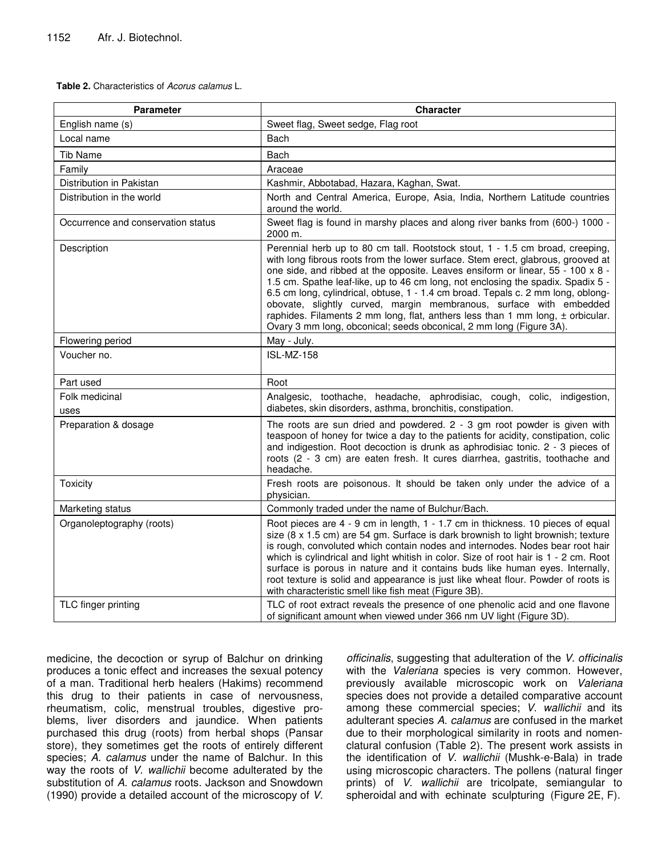**Table 2.** Characteristics of *Acorus calamus* L.

| <b>Parameter</b>                   | <b>Character</b>                                                                                                                                                                                                                                                                                                                                                                                                                                                                                                                                                                                                                                                |
|------------------------------------|-----------------------------------------------------------------------------------------------------------------------------------------------------------------------------------------------------------------------------------------------------------------------------------------------------------------------------------------------------------------------------------------------------------------------------------------------------------------------------------------------------------------------------------------------------------------------------------------------------------------------------------------------------------------|
| English name (s)                   | Sweet flag, Sweet sedge, Flag root                                                                                                                                                                                                                                                                                                                                                                                                                                                                                                                                                                                                                              |
| Local name                         | Bach                                                                                                                                                                                                                                                                                                                                                                                                                                                                                                                                                                                                                                                            |
| Tib Name                           | Bach                                                                                                                                                                                                                                                                                                                                                                                                                                                                                                                                                                                                                                                            |
| Family                             | Araceae                                                                                                                                                                                                                                                                                                                                                                                                                                                                                                                                                                                                                                                         |
| Distribution in Pakistan           | Kashmir, Abbotabad, Hazara, Kaghan, Swat.                                                                                                                                                                                                                                                                                                                                                                                                                                                                                                                                                                                                                       |
| Distribution in the world          | North and Central America, Europe, Asia, India, Northern Latitude countries<br>around the world.                                                                                                                                                                                                                                                                                                                                                                                                                                                                                                                                                                |
| Occurrence and conservation status | Sweet flag is found in marshy places and along river banks from (600-) 1000 -<br>2000 m.                                                                                                                                                                                                                                                                                                                                                                                                                                                                                                                                                                        |
| Description                        | Perennial herb up to 80 cm tall. Rootstock stout, 1 - 1.5 cm broad, creeping,<br>with long fibrous roots from the lower surface. Stem erect, glabrous, grooved at<br>one side, and ribbed at the opposite. Leaves ensiform or linear, 55 - 100 x 8 -<br>1.5 cm. Spathe leaf-like, up to 46 cm long, not enclosing the spadix. Spadix 5 -<br>6.5 cm long, cylindrical, obtuse, 1 - 1.4 cm broad. Tepals c. 2 mm long, oblong-<br>obovate, slightly curved, margin membranous, surface with embedded<br>raphides. Filaments 2 mm long, flat, anthers less than 1 mm long, $\pm$ orbicular.<br>Ovary 3 mm long, obconical; seeds obconical, 2 mm long (Figure 3A). |
| Flowering period                   | May - July.                                                                                                                                                                                                                                                                                                                                                                                                                                                                                                                                                                                                                                                     |
| Voucher no.                        | <b>ISL-MZ-158</b>                                                                                                                                                                                                                                                                                                                                                                                                                                                                                                                                                                                                                                               |
| Part used                          | Root                                                                                                                                                                                                                                                                                                                                                                                                                                                                                                                                                                                                                                                            |
| Folk medicinal<br>uses             | Analgesic, toothache, headache, aphrodisiac, cough, colic, indigestion,<br>diabetes, skin disorders, asthma, bronchitis, constipation.                                                                                                                                                                                                                                                                                                                                                                                                                                                                                                                          |
| Preparation & dosage               | The roots are sun dried and powdered. $2 - 3$ gm root powder is given with<br>teaspoon of honey for twice a day to the patients for acidity, constipation, colic<br>and indigestion. Root decoction is drunk as aphrodisiac tonic. 2 - 3 pieces of<br>roots (2 - 3 cm) are eaten fresh. It cures diarrhea, gastritis, toothache and<br>headache.                                                                                                                                                                                                                                                                                                                |
| Toxicity                           | Fresh roots are poisonous. It should be taken only under the advice of a<br>physician.                                                                                                                                                                                                                                                                                                                                                                                                                                                                                                                                                                          |
| Marketing status                   | Commonly traded under the name of Bulchur/Bach.                                                                                                                                                                                                                                                                                                                                                                                                                                                                                                                                                                                                                 |
| Organoleptography (roots)          | Root pieces are 4 - 9 cm in length, 1 - 1.7 cm in thickness. 10 pieces of equal<br>size (8 x 1.5 cm) are 54 gm. Surface is dark brownish to light brownish; texture<br>is rough, convoluted which contain nodes and internodes. Nodes bear root hair<br>which is cylindrical and light whitish in color. Size of root hair is 1 - 2 cm. Root<br>surface is porous in nature and it contains buds like human eyes. Internally,<br>root texture is solid and appearance is just like wheat flour. Powder of roots is<br>with characteristic smell like fish meat (Figure 3B).                                                                                     |
| TLC finger printing                | TLC of root extract reveals the presence of one phenolic acid and one flavone<br>of significant amount when viewed under 366 nm UV light (Figure 3D).                                                                                                                                                                                                                                                                                                                                                                                                                                                                                                           |

medicine, the decoction or syrup of Balchur on drinking produces a tonic effect and increases the sexual potency of a man. Traditional herb healers (Hakims) recommend this drug to their patients in case of nervousness, rheumatism, colic, menstrual troubles, digestive problems, liver disorders and jaundice. When patients purchased this drug (roots) from herbal shops (Pansar store), they sometimes get the roots of entirely different species; *A. calamus* under the name of Balchur. In this way the roots of *V. wallichii* become adulterated by the substitution of *A. calamus* roots. Jackson and Snowdown (1990) provide a detailed account of the microscopy of *V.*

*officinalis*, suggesting that adulteration of the *V. officinalis* with the *Valeriana* species is very common. However, previously available microscopic work on *Valeriana* species does not provide a detailed comparative account among these commercial species; *V. wallichii* and its adulterant species *A. calamus* are confused in the market due to their morphological similarity in roots and nomenclatural confusion (Table 2). The present work assists in the identification of *V. wallichii* (Mushk-e-Bala) in trade using microscopic characters. The pollens (natural finger prints) of *V. wallichii* are tricolpate, semiangular to spheroidal and with echinate sculpturing (Figure 2E, F).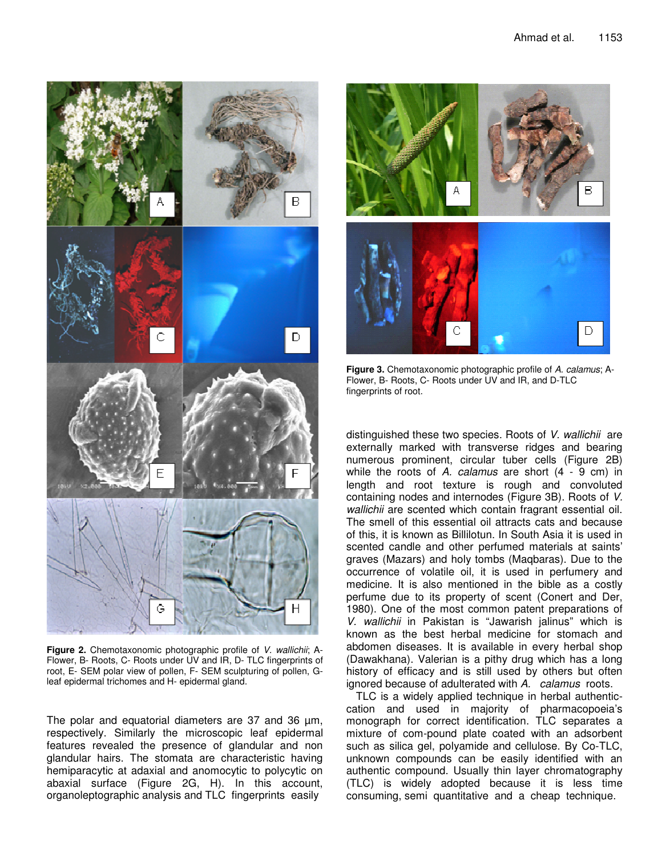

**Figure 2.** Chemotaxonomic photographic profile of *V. wallichii*; A-Flower, B- Roots, C- Roots under UV and IR, D- TLC fingerprints of root, E- SEM polar view of pollen, F- SEM sculpturing of pollen, Gleaf epidermal trichomes and H- epidermal gland.

The polar and equatorial diameters are 37 and 36 µm, respectively. Similarly the microscopic leaf epidermal features revealed the presence of glandular and non glandular hairs. The stomata are characteristic having hemiparacytic at adaxial and anomocytic to polycytic on abaxial surface (Figure 2G, H). In this account, organoleptographic analysis and TLC fingerprints easily



**Figure 3.** Chemotaxonomic photographic profile of *A. calamus*; A-Flower, B- Roots, C- Roots under UV and IR, and D-TLC fingerprints of root.

distinguished these two species. Roots of *V. wallichii* are externally marked with transverse ridges and bearing numerous prominent, circular tuber cells (Figure 2B) while the roots of *A. calamus* are short (4 - 9 cm) in length and root texture is rough and convoluted containing nodes and internodes (Figure 3B). Roots of *V. wallichii* are scented which contain fragrant essential oil. The smell of this essential oil attracts cats and because of this, it is known as Billilotun. In South Asia it is used in scented candle and other perfumed materials at saints' graves (Mazars) and holy tombs (Maqbaras). Due to the occurrence of volatile oil, it is used in perfumery and medicine. It is also mentioned in the bible as a costly perfume due to its property of scent (Conert and Der, 1980). One of the most common patent preparations of *V. wallichii* in Pakistan is "Jawarish jalinus" which is known as the best herbal medicine for stomach and abdomen diseases. It is available in every herbal shop (Dawakhana). Valerian is a pithy drug which has a long history of efficacy and is still used by others but often ignored because of adulterated with *A. calamus* roots.

TLC is a widely applied technique in herbal authenticcation and used in majority of pharmacopoeia's monograph for correct identification. TLC separates a mixture of com-pound plate coated with an adsorbent such as silica gel, polyamide and cellulose. By Co-TLC, unknown compounds can be easily identified with an authentic compound. Usually thin layer chromatography (TLC) is widely adopted because it is less time consuming, semi quantitative and a cheap technique.